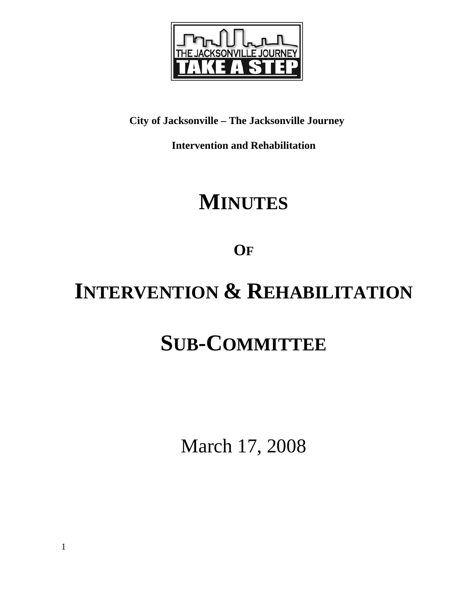

# **City of Jacksonville – The Jacksonville Journey**

**Intervention and Rehabilitation** 

# **MINUTES**

**OF**

# **INTERVENTION & REHABILITATION**

# **SUB-COMMITTEE**

March 17, 2008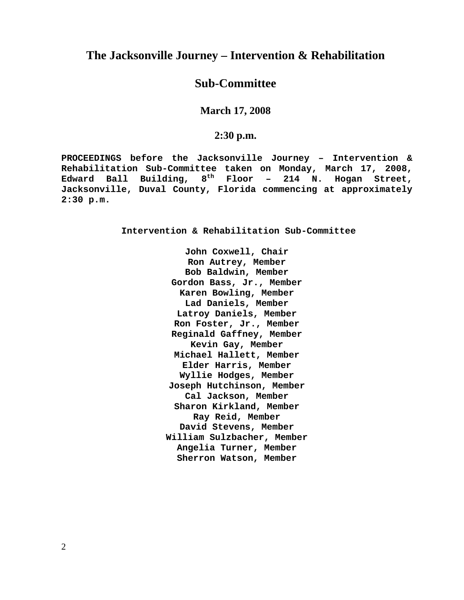## **The Jacksonville Journey – Intervention & Rehabilitation**

# **Sub-Committee**

**March 17, 2008** 

#### **2:30 p.m.**

**PROCEEDINGS before the Jacksonville Journey – Intervention & Rehabilitation Sub-Committee taken on Monday, March 17, 2008, Edward Ball Building, 8th Floor – 214 N. Hogan Street, Jacksonville, Duval County, Florida commencing at approximately 2:30 p.m.** 

**Intervention & Rehabilitation Sub-Committee** 

**John Coxwell, Chair Ron Autrey, Member Bob Baldwin, Member Gordon Bass, Jr., Member Karen Bowling, Member Lad Daniels, Member Latroy Daniels, Member Ron Foster, Jr., Member Reginald Gaffney, Member Kevin Gay, Member Michael Hallett, Member Elder Harris, Member Wyllie Hodges, Member Joseph Hutchinson, Member Cal Jackson, Member Sharon Kirkland, Member Ray Reid, Member David Stevens, Member William Sulzbacher, Member Angelia Turner, Member Sherron Watson, Member**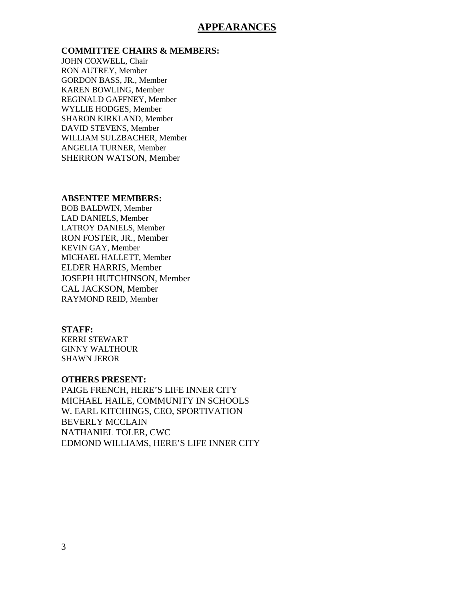#### **APPEARANCES**

#### **COMMITTEE CHAIRS & MEMBERS:**

JOHN COXWELL, Chair RON AUTREY, Member GORDON BASS, JR., Member KAREN BOWLING, Member REGINALD GAFFNEY, Member WYLLIE HODGES, Member SHARON KIRKLAND, Member DAVID STEVENS, Member WILLIAM SULZBACHER, Member ANGELIA TURNER, Member SHERRON WATSON, Member

#### **ABSENTEE MEMBERS:**

BOB BALDWIN, Member LAD DANIELS, Member LATROY DANIELS, Member RON FOSTER, JR., Member KEVIN GAY, Member MICHAEL HALLETT, Member ELDER HARRIS, Member JOSEPH HUTCHINSON, Member CAL JACKSON, Member RAYMOND REID, Member

#### **STAFF:**

KERRI STEWART GINNY WALTHOUR SHAWN JEROR

#### **OTHERS PRESENT:**

PAIGE FRENCH, HERE'S LIFE INNER CITY MICHAEL HAILE, COMMUNITY IN SCHOOLS W. EARL KITCHINGS, CEO, SPORTIVATION BEVERLY MCCLAIN NATHANIEL TOLER, CWC EDMOND WILLIAMS, HERE'S LIFE INNER CITY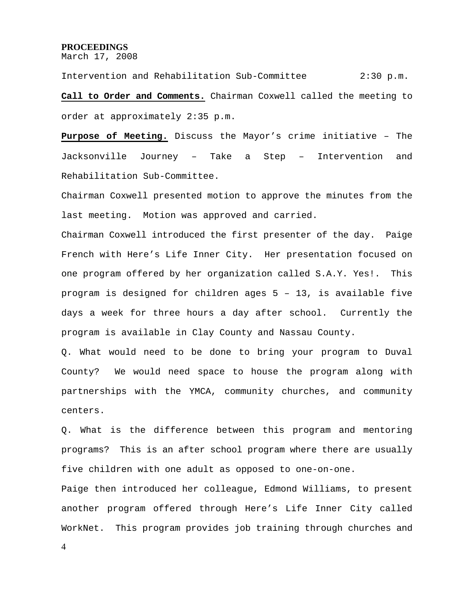#### **PROCEEDINGS**

March 17, 2008

Intervention and Rehabilitation Sub-Committee 2:30 p.m. **Call to Order and Comments.** Chairman Coxwell called the meeting to order at approximately 2:35 p.m.

**Purpose of Meeting.** Discuss the Mayor's crime initiative – The Jacksonville Journey – Take a Step – Intervention and Rehabilitation Sub-Committee.

Chairman Coxwell presented motion to approve the minutes from the last meeting. Motion was approved and carried.

Chairman Coxwell introduced the first presenter of the day. Paige French with Here's Life Inner City. Her presentation focused on one program offered by her organization called S.A.Y. Yes!. This program is designed for children ages 5 – 13, is available five days a week for three hours a day after school. Currently the program is available in Clay County and Nassau County.

Q. What would need to be done to bring your program to Duval County? We would need space to house the program along with partnerships with the YMCA, community churches, and community centers.

Q. What is the difference between this program and mentoring programs? This is an after school program where there are usually five children with one adult as opposed to one-on-one.

Paige then introduced her colleague, Edmond Williams, to present another program offered through Here's Life Inner City called WorkNet. This program provides job training through churches and

4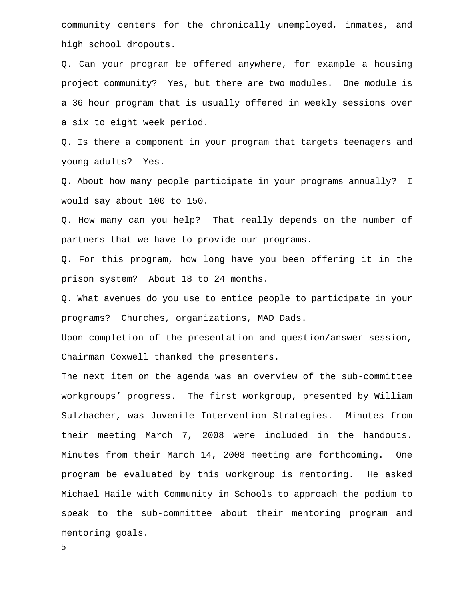community centers for the chronically unemployed, inmates, and high school dropouts.

Q. Can your program be offered anywhere, for example a housing project community? Yes, but there are two modules. One module is a 36 hour program that is usually offered in weekly sessions over a six to eight week period.

Q. Is there a component in your program that targets teenagers and young adults? Yes.

Q. About how many people participate in your programs annually? I would say about 100 to 150.

Q. How many can you help? That really depends on the number of partners that we have to provide our programs.

Q. For this program, how long have you been offering it in the prison system? About 18 to 24 months.

Q. What avenues do you use to entice people to participate in your programs? Churches, organizations, MAD Dads.

Upon completion of the presentation and question/answer session, Chairman Coxwell thanked the presenters.

The next item on the agenda was an overview of the sub-committee workgroups' progress. The first workgroup, presented by William Sulzbacher, was Juvenile Intervention Strategies. Minutes from their meeting March 7, 2008 were included in the handouts. Minutes from their March 14, 2008 meeting are forthcoming. One program be evaluated by this workgroup is mentoring. He asked Michael Haile with Community in Schools to approach the podium to speak to the sub-committee about their mentoring program and mentoring goals.

5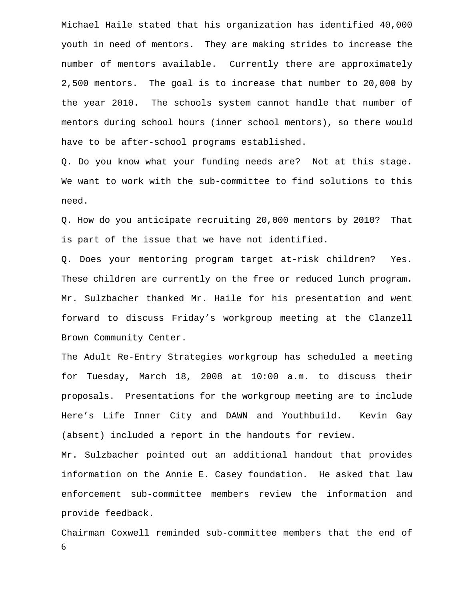Michael Haile stated that his organization has identified 40,000 youth in need of mentors. They are making strides to increase the number of mentors available. Currently there are approximately 2,500 mentors. The goal is to increase that number to 20,000 by the year 2010. The schools system cannot handle that number of mentors during school hours (inner school mentors), so there would have to be after-school programs established.

Q. Do you know what your funding needs are? Not at this stage. We want to work with the sub-committee to find solutions to this need.

Q. How do you anticipate recruiting 20,000 mentors by 2010? That is part of the issue that we have not identified.

Q. Does your mentoring program target at-risk children? Yes. These children are currently on the free or reduced lunch program. Mr. Sulzbacher thanked Mr. Haile for his presentation and went forward to discuss Friday's workgroup meeting at the Clanzell Brown Community Center.

The Adult Re-Entry Strategies workgroup has scheduled a meeting for Tuesday, March 18, 2008 at 10:00 a.m. to discuss their proposals. Presentations for the workgroup meeting are to include Here's Life Inner City and DAWN and Youthbuild. Kevin Gay (absent) included a report in the handouts for review.

Mr. Sulzbacher pointed out an additional handout that provides information on the Annie E. Casey foundation. He asked that law enforcement sub-committee members review the information and provide feedback.

6 Chairman Coxwell reminded sub-committee members that the end of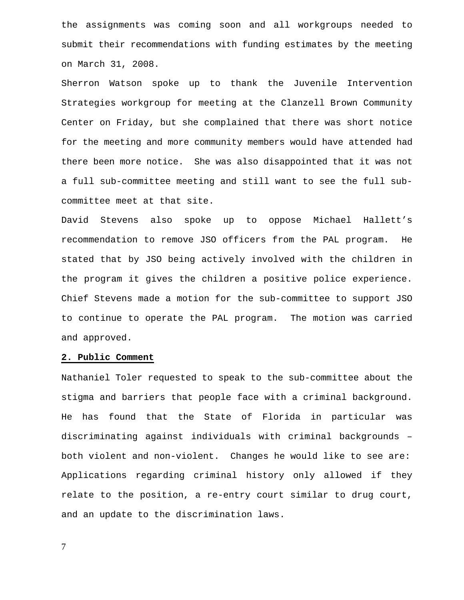the assignments was coming soon and all workgroups needed to submit their recommendations with funding estimates by the meeting on March 31, 2008.

Sherron Watson spoke up to thank the Juvenile Intervention Strategies workgroup for meeting at the Clanzell Brown Community Center on Friday, but she complained that there was short notice for the meeting and more community members would have attended had there been more notice. She was also disappointed that it was not a full sub-committee meeting and still want to see the full subcommittee meet at that site.

David Stevens also spoke up to oppose Michael Hallett's recommendation to remove JSO officers from the PAL program. He stated that by JSO being actively involved with the children in the program it gives the children a positive police experience. Chief Stevens made a motion for the sub-committee to support JSO to continue to operate the PAL program. The motion was carried and approved.

#### **2. Public Comment**

Nathaniel Toler requested to speak to the sub-committee about the stigma and barriers that people face with a criminal background. He has found that the State of Florida in particular was discriminating against individuals with criminal backgrounds – both violent and non-violent. Changes he would like to see are: Applications regarding criminal history only allowed if they relate to the position, a re-entry court similar to drug court, and an update to the discrimination laws.

7